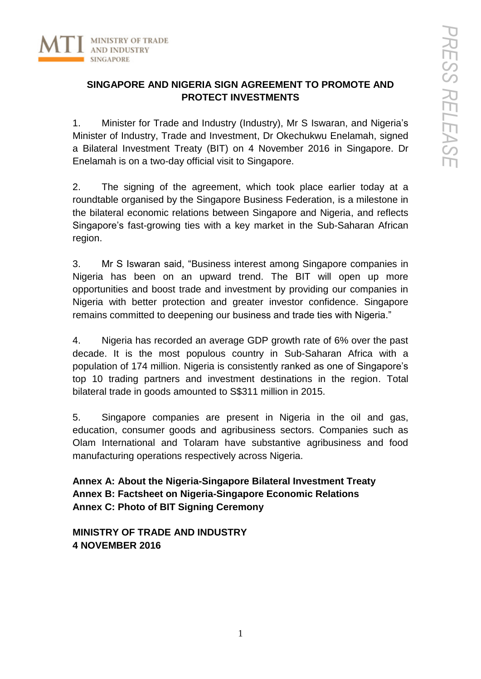

# **SINGAPORE AND NIGERIA SIGN AGREEMENT TO PROMOTE AND PROTECT INVESTMENTS**

1. Minister for Trade and Industry (Industry), Mr S Iswaran, and Nigeria's Minister of Industry, Trade and Investment, Dr Okechukwu Enelamah, signed a Bilateral Investment Treaty (BIT) on 4 November 2016 in Singapore. Dr Enelamah is on a two-day official visit to Singapore.

2. The signing of the agreement, which took place earlier today at a roundtable organised by the Singapore Business Federation, is a milestone in the bilateral economic relations between Singapore and Nigeria, and reflects Singapore's fast-growing ties with a key market in the Sub-Saharan African region.

3. Mr S Iswaran said, "Business interest among Singapore companies in Nigeria has been on an upward trend. The BIT will open up more opportunities and boost trade and investment by providing our companies in Nigeria with better protection and greater investor confidence. Singapore remains committed to deepening our business and trade ties with Nigeria."

4. Nigeria has recorded an average GDP growth rate of 6% over the past decade. It is the most populous country in Sub-Saharan Africa with a population of 174 million. Nigeria is consistently ranked as one of Singapore's top 10 trading partners and investment destinations in the region. Total bilateral trade in goods amounted to S\$311 million in 2015.

5. Singapore companies are present in Nigeria in the oil and gas, education, consumer goods and agribusiness sectors. Companies such as Olam International and Tolaram have substantive agribusiness and food manufacturing operations respectively across Nigeria.

**Annex A: About the Nigeria-Singapore Bilateral Investment Treaty Annex B: Factsheet on Nigeria-Singapore Economic Relations Annex C: Photo of BIT Signing Ceremony**

**MINISTRY OF TRADE AND INDUSTRY 4 NOVEMBER 2016**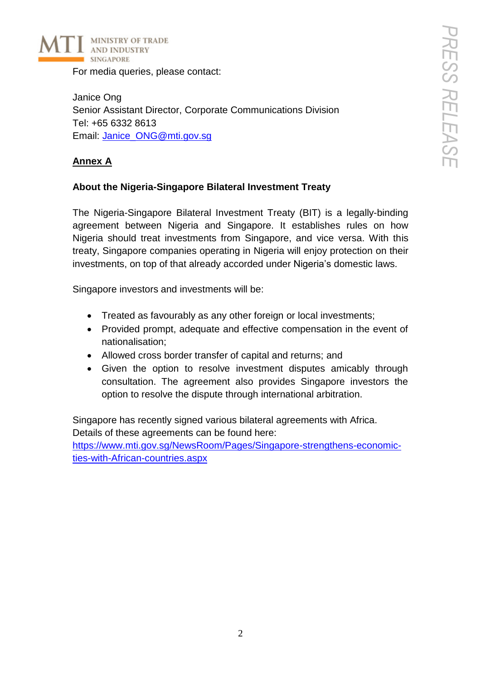

For media queries, please contact:

Janice Ong Senior Assistant Director, Corporate Communications Division Tel: +65 6332 8613 Email: [Janice\\_ONG@mti.gov.sg](mailto:Janice_ONG@mti.gov.sg)

# **Annex A**

## **About the Nigeria-Singapore Bilateral Investment Treaty**

The Nigeria-Singapore Bilateral Investment Treaty (BIT) is a legally-binding agreement between Nigeria and Singapore. It establishes rules on how Nigeria should treat investments from Singapore, and vice versa. With this treaty, Singapore companies operating in Nigeria will enjoy protection on their investments, on top of that already accorded under Nigeria's domestic laws.

Singapore investors and investments will be:

- Treated as favourably as any other foreign or local investments;
- Provided prompt, adequate and effective compensation in the event of nationalisation;
- Allowed cross border transfer of capital and returns; and
- Given the option to resolve investment disputes amicably through consultation. The agreement also provides Singapore investors the option to resolve the dispute through international arbitration.

Singapore has recently signed various bilateral agreements with Africa. Details of these agreements can be found here:

[https://www.mti.gov.sg/NewsRoom/Pages/Singapore-strengthens-economic](https://www.mti.gov.sg/NewsRoom/Pages/Singapore-strengthens-economic-ties-with-African-countries.aspx)[ties-with-African-countries.aspx](https://www.mti.gov.sg/NewsRoom/Pages/Singapore-strengthens-economic-ties-with-African-countries.aspx)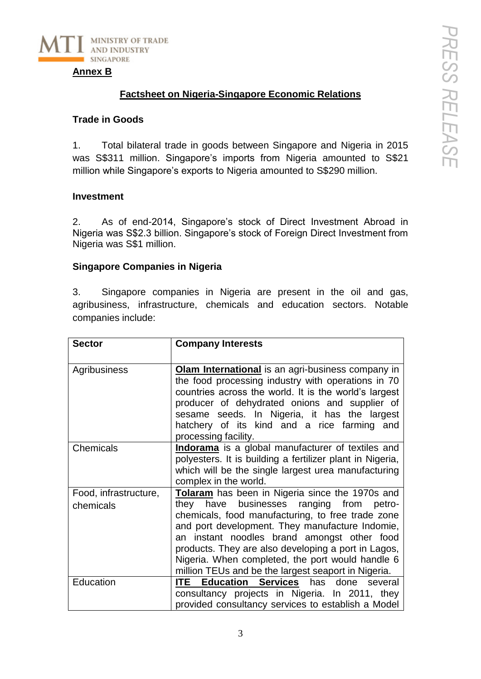

#### **Annex B**

## **Factsheet on Nigeria-Singapore Economic Relations**

#### **Trade in Goods**

1. Total bilateral trade in goods between Singapore and Nigeria in 2015 was S\$311 million. Singapore's imports from Nigeria amounted to S\$21 million while Singapore's exports to Nigeria amounted to S\$290 million.

### **Investment**

2. As of end-2014, Singapore's stock of Direct Investment Abroad in Nigeria was S\$2.3 billion. Singapore's stock of Foreign Direct Investment from Nigeria was S\$1 million.

### **Singapore Companies in Nigeria**

3. Singapore companies in Nigeria are present in the oil and gas, agribusiness, infrastructure, chemicals and education sectors. Notable companies include:

| <b>Sector</b>                      | <b>Company Interests</b>                                                                                                                                                                                                                                                                                                                                                                                             |
|------------------------------------|----------------------------------------------------------------------------------------------------------------------------------------------------------------------------------------------------------------------------------------------------------------------------------------------------------------------------------------------------------------------------------------------------------------------|
| Agribusiness                       | Olam International is an agri-business company in<br>the food processing industry with operations in 70<br>countries across the world. It is the world's largest<br>producer of dehydrated onions and supplier of<br>sesame seeds. In Nigeria, it has the largest<br>hatchery of its kind and a rice farming and<br>processing facility.                                                                             |
| Chemicals                          | Indorama is a global manufacturer of textiles and<br>polyesters. It is building a fertilizer plant in Nigeria,<br>which will be the single largest urea manufacturing<br>complex in the world.                                                                                                                                                                                                                       |
| Food, infrastructure,<br>chemicals | Tolaram has been in Nigeria since the 1970s and<br>they have businesses ranging from petro-<br>chemicals, food manufacturing, to free trade zone<br>and port development. They manufacture Indomie,<br>an instant noodles brand amongst other food<br>products. They are also developing a port in Lagos,<br>Nigeria. When completed, the port would handle 6<br>million TEUs and be the largest seaport in Nigeria. |
| Education                          | <b>ITE Education Services</b> has done several<br>consultancy projects in Nigeria. In 2011, they<br>provided consultancy services to establish a Model                                                                                                                                                                                                                                                               |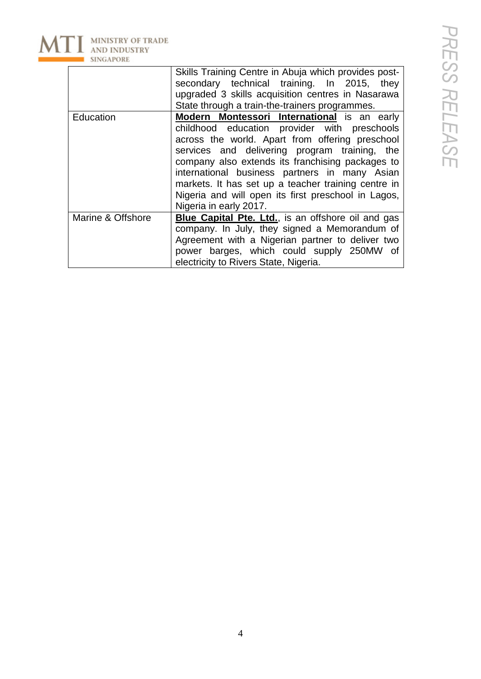

|                   | Skills Training Centre in Abuja which provides post-      |
|-------------------|-----------------------------------------------------------|
|                   | secondary technical training. In 2015, they               |
|                   | upgraded 3 skills acquisition centres in Nasarawa         |
|                   | State through a train-the-trainers programmes.            |
| Education         | Modern Montessori International is an early               |
|                   | childhood education provider with preschools              |
|                   | across the world. Apart from offering preschool           |
|                   | services and delivering program training, the             |
|                   | company also extends its franchising packages to          |
|                   | international business partners in many Asian             |
|                   | markets. It has set up a teacher training centre in       |
|                   | Nigeria and will open its first preschool in Lagos,       |
|                   | Nigeria in early 2017.                                    |
| Marine & Offshore | <b>Blue Capital Pte. Ltd., is an offshore oil and gas</b> |
|                   | company. In July, they signed a Memorandum of             |
|                   | Agreement with a Nigerian partner to deliver two          |
|                   | power barges, which could supply 250MW of                 |
|                   | electricity to Rivers State, Nigeria.                     |